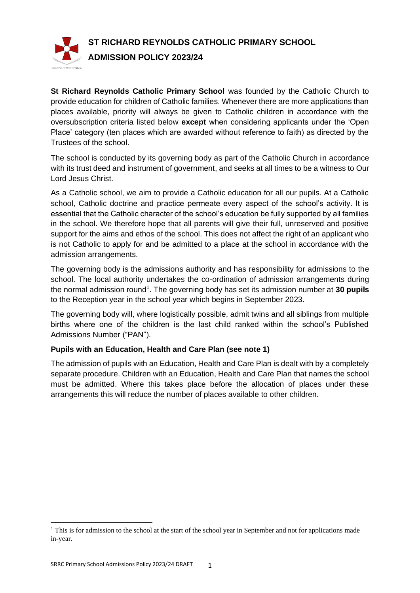

**St Richard Reynolds Catholic Primary School** was founded by the Catholic Church to provide education for children of Catholic families. Whenever there are more applications than places available, priority will always be given to Catholic children in accordance with the oversubscription criteria listed below **except** when considering applicants under the 'Open Place' category (ten places which are awarded without reference to faith) as directed by the Trustees of the school.

The school is conducted by its governing body as part of the Catholic Church in accordance with its trust deed and instrument of government, and seeks at all times to be a witness to Our Lord Jesus Christ.

As a Catholic school, we aim to provide a Catholic education for all our pupils. At a Catholic school, Catholic doctrine and practice permeate every aspect of the school's activity. It is essential that the Catholic character of the school's education be fully supported by all families in the school. We therefore hope that all parents will give their full, unreserved and positive support for the aims and ethos of the school. This does not affect the right of an applicant who is not Catholic to apply for and be admitted to a place at the school in accordance with the admission arrangements.

The governing body is the admissions authority and has responsibility for admissions to the school. The local authority undertakes the co-ordination of admission arrangements during the normal admission round<sup>1</sup>. The governing body has set its admission number at 30 pupils to the Reception year in the school year which begins in September 2023.

The governing body will, where logistically possible, admit twins and all siblings from multiple births where one of the children is the last child ranked within the school's Published Admissions Number ("PAN").

# **Pupils with an Education, Health and Care Plan (see note 1)**

The admission of pupils with an Education, Health and Care Plan is dealt with by a completely separate procedure. Children with an Education, Health and Care Plan that names the school must be admitted. Where this takes place before the allocation of places under these arrangements this will reduce the number of places available to other children.

<sup>&</sup>lt;sup>1</sup> This is for admission to the school at the start of the school year in September and not for applications made in-year.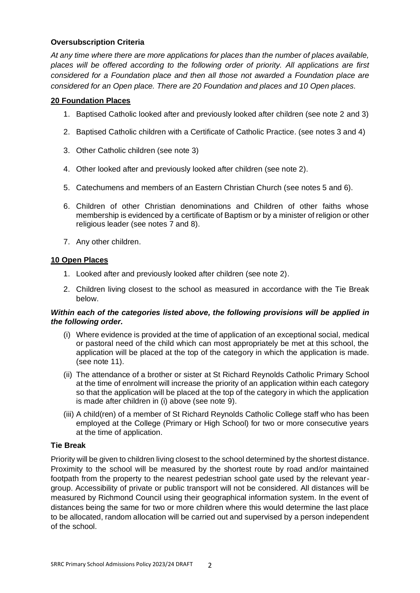## **Oversubscription Criteria**

*At any time where there are more applications for places than the number of places available, places will be offered according to the following order of priority. All applications are first considered for a Foundation place and then all those not awarded a Foundation place are considered for an Open place. There are 20 Foundation and places and 10 Open places.*

### **20 Foundation Places**

- 1. Baptised Catholic looked after and previously looked after children (see note 2 and 3)
- 2. Baptised Catholic children with a Certificate of Catholic Practice. (see notes 3 and 4)
- 3. Other Catholic children (see note 3)
- 4. Other looked after and previously looked after children (see note 2).
- 5. Catechumens and members of an Eastern Christian Church (see notes 5 and 6).
- 6. Children of other Christian denominations and Children of other faiths whose membership is evidenced by a certificate of Baptism or by a minister of religion or other religious leader (see notes 7 and 8).
- 7. Any other children.

### **10 Open Places**

- 1. Looked after and previously looked after children (see note 2).
- 2. Children living closest to the school as measured in accordance with the Tie Break below.

### *Within each of the categories listed above, the following provisions will be applied in the following order.*

- (i) Where evidence is provided at the time of application of an exceptional social, medical or pastoral need of the child which can most appropriately be met at this school, the application will be placed at the top of the category in which the application is made. (see note 11).
- (ii) The attendance of a brother or sister at St Richard Reynolds Catholic Primary School at the time of enrolment will increase the priority of an application within each category so that the application will be placed at the top of the category in which the application is made after children in (i) above (see note 9).
- (iii) A child(ren) of a member of St Richard Reynolds Catholic College staff who has been employed at the College (Primary or High School) for two or more consecutive years at the time of application.

### **Tie Break**

Priority will be given to children living closest to the school determined by the shortest distance. Proximity to the school will be measured by the shortest route by road and/or maintained footpath from the property to the nearest pedestrian school gate used by the relevant yeargroup. Accessibility of private or public transport will not be considered. All distances will be measured by Richmond Council using their geographical information system. In the event of distances being the same for two or more children where this would determine the last place to be allocated, random allocation will be carried out and supervised by a person independent of the school.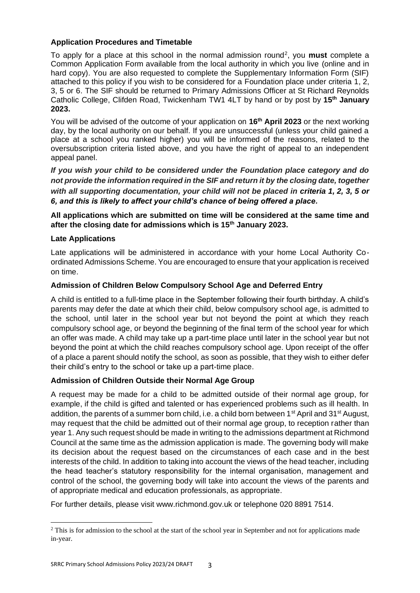### **Application Procedures and Timetable**

To apply for a place at this school in the normal admission round<sup>2</sup>, you **must** complete a Common Application Form available from the local authority in which you live (online and in hard copy). You are also requested to complete the Supplementary Information Form (SIF) attached to this policy if you wish to be considered for a Foundation place under criteria 1, 2, 3, 5 or 6. The SIF should be returned to Primary Admissions Officer at St Richard Reynolds Catholic College, Clifden Road, Twickenham TW1 4LT by hand or by post by **15th January 2023.**

You will be advised of the outcome of your application on **16th April 2023** or the next working day, by the local authority on our behalf. If you are unsuccessful (unless your child gained a place at a school you ranked higher) you will be informed of the reasons, related to the oversubscription criteria listed above, and you have the right of appeal to an independent appeal panel.

*If you wish your child to be considered under the Foundation place category and do not provide the information required in the SIF and return it by the closing date, together with all supporting documentation, your child will not be placed in criteria 1, 2, 3, 5 or 6, and this is likely to affect your child's chance of being offered a place.*

# **All applications which are submitted on time will be considered at the same time and after the closing date for admissions which is 15th January 2023.**

## **Late Applications**

Late applications will be administered in accordance with your home Local Authority Coordinated Admissions Scheme. You are encouraged to ensure that your application is received on time.

## **Admission of Children Below Compulsory School Age and Deferred Entry**

A child is entitled to a full-time place in the September following their fourth birthday. A child's parents may defer the date at which their child, below compulsory school age, is admitted to the school, until later in the school year but not beyond the point at which they reach compulsory school age, or beyond the beginning of the final term of the school year for which an offer was made. A child may take up a part-time place until later in the school year but not beyond the point at which the child reaches compulsory school age. Upon receipt of the offer of a place a parent should notify the school, as soon as possible, that they wish to either defer their child's entry to the school or take up a part-time place.

### **Admission of Children Outside their Normal Age Group**

A request may be made for a child to be admitted outside of their normal age group, for example, if the child is gifted and talented or has experienced problems such as ill health. In addition, the parents of a summer born child, i.e. a child born between 1<sup>st</sup> April and 31<sup>st</sup> August, may request that the child be admitted out of their normal age group, to reception rather than year 1. Any such request should be made in writing to the admissions department at Richmond Council at the same time as the admission application is made. The governing body will make its decision about the request based on the circumstances of each case and in the best interests of the child. In addition to taking into account the views of the head teacher, including the head teacher's statutory responsibility for the internal organisation, management and control of the school, the governing body will take into account the views of the parents and of appropriate medical and education professionals, as appropriate.

For further details, please visit www.richmond.gov.uk or telephone 020 8891 7514.

<sup>&</sup>lt;sup>2</sup> This is for admission to the school at the start of the school year in September and not for applications made in-year.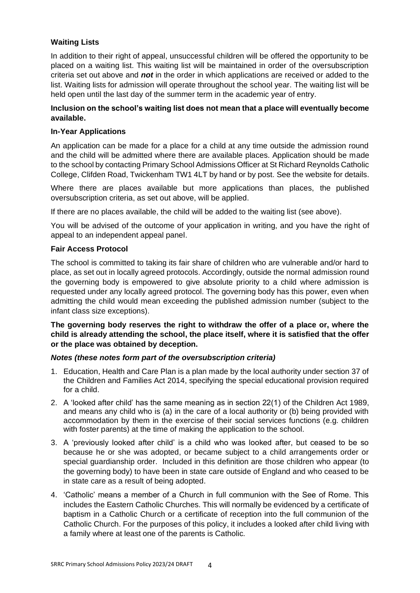# **Waiting Lists**

In addition to their right of appeal, unsuccessful children will be offered the opportunity to be placed on a waiting list. This waiting list will be maintained in order of the oversubscription criteria set out above and *not* in the order in which applications are received or added to the list. Waiting lists for admission will operate throughout the school year. The waiting list will be held open until the last day of the summer term in the academic year of entry.

## **Inclusion on the school's waiting list does not mean that a place will eventually become available.**

### **In-Year Applications**

An application can be made for a place for a child at any time outside the admission round and the child will be admitted where there are available places. Application should be made to the school by contacting Primary School Admissions Officer at St Richard Reynolds Catholic College, Clifden Road, Twickenham TW1 4LT by hand or by post. See the website for details.

Where there are places available but more applications than places, the published oversubscription criteria, as set out above, will be applied.

If there are no places available, the child will be added to the waiting list (see above).

You will be advised of the outcome of your application in writing, and you have the right of appeal to an independent appeal panel.

### **Fair Access Protocol**

The school is committed to taking its fair share of children who are vulnerable and/or hard to place, as set out in locally agreed protocols. Accordingly, outside the normal admission round the governing body is empowered to give absolute priority to a child where admission is requested under any locally agreed protocol. The governing body has this power, even when admitting the child would mean exceeding the published admission number (subject to the infant class size exceptions).

**The governing body reserves the right to withdraw the offer of a place or, where the child is already attending the school, the place itself, where it is satisfied that the offer or the place was obtained by deception.**

### *Notes (these notes form part of the oversubscription criteria)*

- 1. Education, Health and Care Plan is a plan made by the local authority under section 37 of the Children and Families Act 2014, specifying the special educational provision required for a child.
- 2. A 'looked after child' has the same meaning as in section 22(1) of the Children Act 1989, and means any child who is (a) in the care of a local authority or (b) being provided with accommodation by them in the exercise of their social services functions (e.g. children with foster parents) at the time of making the application to the school.
- 3. A 'previously looked after child' is a child who was looked after, but ceased to be so because he or she was adopted, or became subject to a child arrangements order or special guardianship order. Included in this definition are those children who appear (to the governing body) to have been in state care outside of England and who ceased to be in state care as a result of being adopted.
- 4. 'Catholic' means a member of a Church in full communion with the See of Rome. This includes the Eastern Catholic Churches. This will normally be evidenced by a certificate of baptism in a Catholic Church or a certificate of reception into the full communion of the Catholic Church. For the purposes of this policy, it includes a looked after child living with a family where at least one of the parents is Catholic.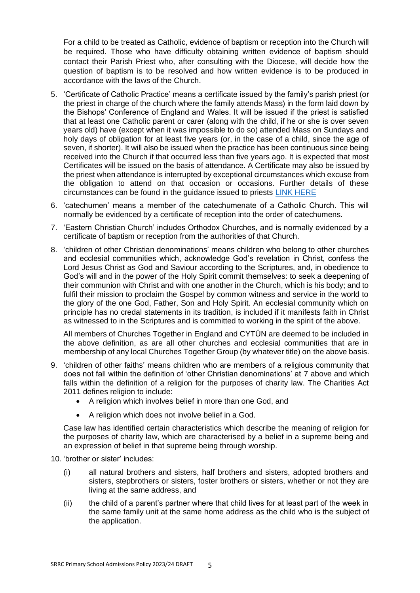For a child to be treated as Catholic, evidence of baptism or reception into the Church will be required. Those who have difficulty obtaining written evidence of baptism should contact their Parish Priest who, after consulting with the Diocese, will decide how the question of baptism is to be resolved and how written evidence is to be produced in accordance with the laws of the Church.

- 5. 'Certificate of Catholic Practice' means a certificate issued by the family's parish priest (or the priest in charge of the church where the family attends Mass) in the form laid down by the Bishops' Conference of England and Wales. It will be issued if the priest is satisfied that at least one Catholic parent or carer (along with the child, if he or she is over seven years old) have (except when it was impossible to do so) attended Mass on Sundays and holy days of obligation for at least five years (or, in the case of a child, since the age of seven, if shorter). It will also be issued when the practice has been continuous since being received into the Church if that occurred less than five years ago. It is expected that most Certificates will be issued on the basis of attendance. A Certificate may also be issued by the priest when attendance is interrupted by exceptional circumstances which excuse from the obligation to attend on that occasion or occasions. Further details of these circumstances can be found in the guidance issued to priests [LINK HERE](https://education.rcdow.org.uk/wp-content/uploads/2018/08/Priests-Certificate-of-Catholic-Practice-Guidance-Proposed-amendments-2017-2-CLEAN-COPY.pdf)
- 6. 'catechumen' means a member of the catechumenate of a Catholic Church. This will normally be evidenced by a certificate of reception into the order of catechumens.
- 7. 'Eastern Christian Church' includes Orthodox Churches, and is normally evidenced by a certificate of baptism or reception from the authorities of that Church.
- 8. 'children of other Christian denominations' means children who belong to other churches and ecclesial communities which, acknowledge God's revelation in Christ, confess the Lord Jesus Christ as God and Saviour according to the Scriptures, and, in obedience to God's will and in the power of the Holy Spirit commit themselves: to seek a deepening of their communion with Christ and with one another in the Church, which is his body; and to fulfil their mission to proclaim the Gospel by common witness and service in the world to the glory of the one God, Father, Son and Holy Spirit. An ecclesial community which on principle has no credal statements in its tradition, is included if it manifests faith in Christ as witnessed to in the Scriptures and is committed to working in the spirit of the above.

All members of Churches Together in England and CYTÛN are deemed to be included in the above definition, as are all other churches and ecclesial communities that are in membership of any local Churches Together Group (by whatever title) on the above basis.

- 9. 'children of other faiths' means children who are members of a religious community that does not fall within the definition of 'other Christian denominations' at 7 above and which falls within the definition of a religion for the purposes of charity law. The Charities Act 2011 defines religion to include:
	- A religion which involves belief in more than one God, and
	- A religion which does not involve belief in a God.

Case law has identified certain characteristics which describe the meaning of religion for the purposes of charity law, which are characterised by a belief in a supreme being and an expression of belief in that supreme being through worship.

10. 'brother or sister' includes:

- (i) all natural brothers and sisters, half brothers and sisters, adopted brothers and sisters, stepbrothers or sisters, foster brothers or sisters, whether or not they are living at the same address, and
- (ii) the child of a parent's partner where that child lives for at least part of the week in the same family unit at the same home address as the child who is the subject of the application.